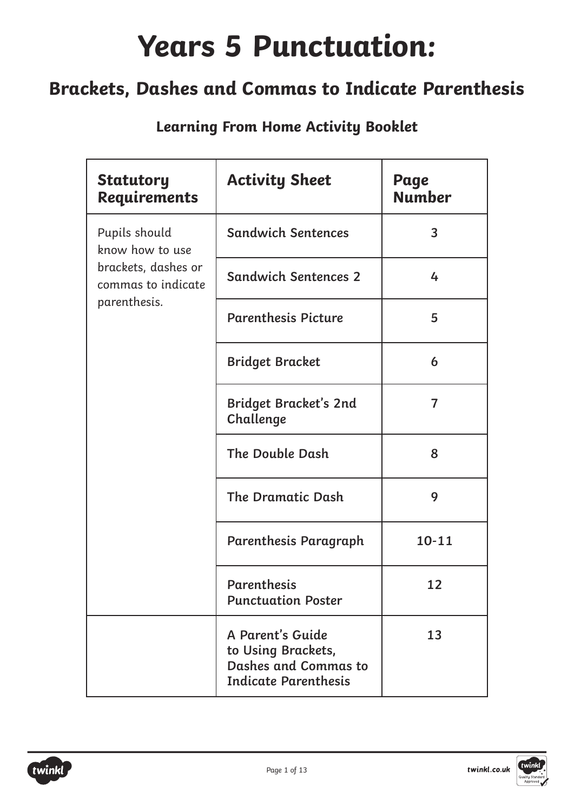### **Years 5 Punctuation:**

### **Brackets, Dashes and Commas to Indicate Parenthesis**

| <b>Statutory</b><br><b>Requirements</b>   | <b>Activity Sheet</b>                                                                                | Page<br><b>Number</b> |
|-------------------------------------------|------------------------------------------------------------------------------------------------------|-----------------------|
| Pupils should<br>know how to use          | <b>Sandwich Sentences</b>                                                                            | 3                     |
| brackets, dashes or<br>commas to indicate | <b>Sandwich Sentences 2</b>                                                                          | 4                     |
| parenthesis.                              | <b>Parenthesis Picture</b>                                                                           | 5                     |
|                                           | <b>Bridget Bracket</b>                                                                               | 6                     |
|                                           | <b>Bridget Bracket's 2nd</b><br>Challenge                                                            | $\overline{7}$        |
|                                           | The Double Dash                                                                                      | 8                     |
|                                           | <b>The Dramatic Dash</b>                                                                             | 9                     |
|                                           | Parenthesis Paragraph                                                                                | $10 - 11$             |
|                                           | <b>Parenthesis</b><br><b>Punctuation Poster</b>                                                      | 12                    |
|                                           | A Parent's Guide<br>to Using Brackets,<br><b>Dashes and Commas to</b><br><b>Indicate Parenthesis</b> | 13                    |

**Learning From Home Activity Booklet**

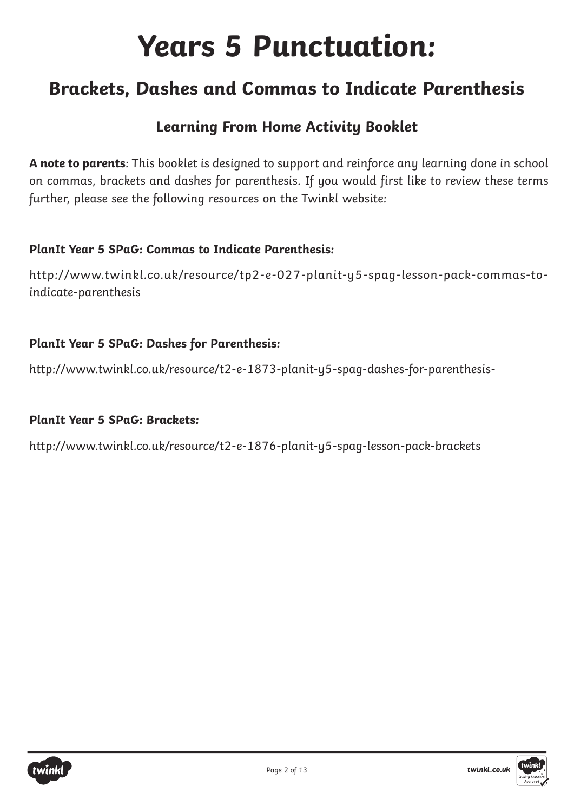### **Years 5 Punctuation:**

### **Brackets, Dashes and Commas to Indicate Parenthesis**

### **Learning From Home Activity Booklet**

**A note to parents**: This booklet is designed to support and reinforce any learning done in school on commas, brackets and dashes for parenthesis. If you would first like to review these terms further, please see the following resources on the Twinkl website:

#### **PlanIt Year 5 SPaG: Commas to Indicate Parenthesis:**

[http://www.twinkl.co.uk/resource/tp2-e-027-planit-y5-spag-lesson-pack-commas-to](http://www.twinkl.co.uk/resource/tp2-e-027-planit-y5-spag-lesson-pack-commas-to-indicate-parenthesis)[indicate-parenthesis](http://www.twinkl.co.uk/resource/tp2-e-027-planit-y5-spag-lesson-pack-commas-to-indicate-parenthesis)

#### **PlanIt Year 5 SPaG: Dashes for Parenthesis:**

<http://www.twinkl.co.uk/resource/t2-e-1873-planit-y5-spag-dashes-for-parenthesis->

#### **PlanIt Year 5 SPaG: Brackets:**

<http://www.twinkl.co.uk/resource/t2-e-1876-planit-y5-spag-lesson-pack-brackets>



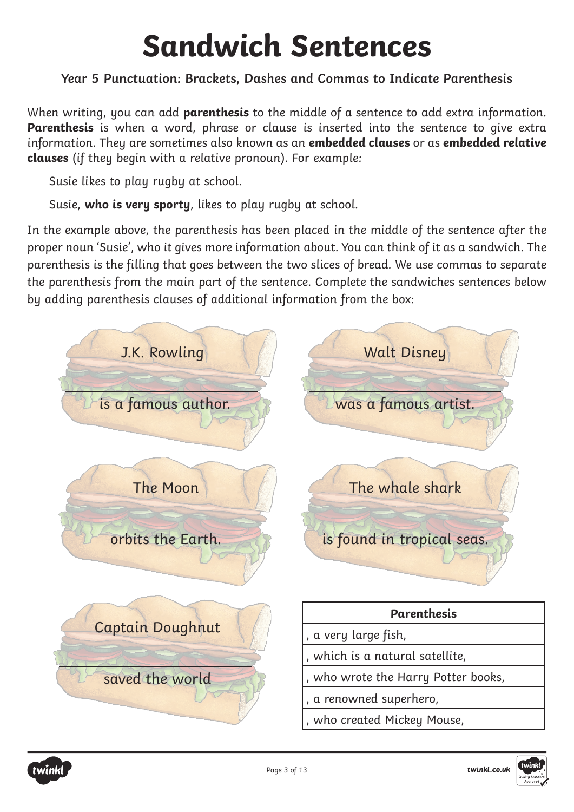# **Sandwich Sentences**

### **Year 5 Punctuation: Brackets, Dashes and Commas to Indicate Parenthesis**

When writing, you can add **parenthesis** to the middle of a sentence to add extra information. **Parenthesis** is when a word, phrase or clause is inserted into the sentence to give extra information. They are sometimes also known as an **embedded clauses** or as **embedded relative clauses** (if they begin with a relative pronoun). For example:

Susie likes to play rugby at school.

Susie, **who is very sporty**, likes to play rugby at school.

In the example above, the parenthesis has been placed in the middle of the sentence after the proper noun 'Susie', who it gives more information about. You can think of it as a sandwich. The parenthesis is the filling that goes between the two slices of bread. We use commas to separate the parenthesis from the main part of the sentence. Complete the sandwiches sentences below by adding parenthesis clauses of additional information from the box:



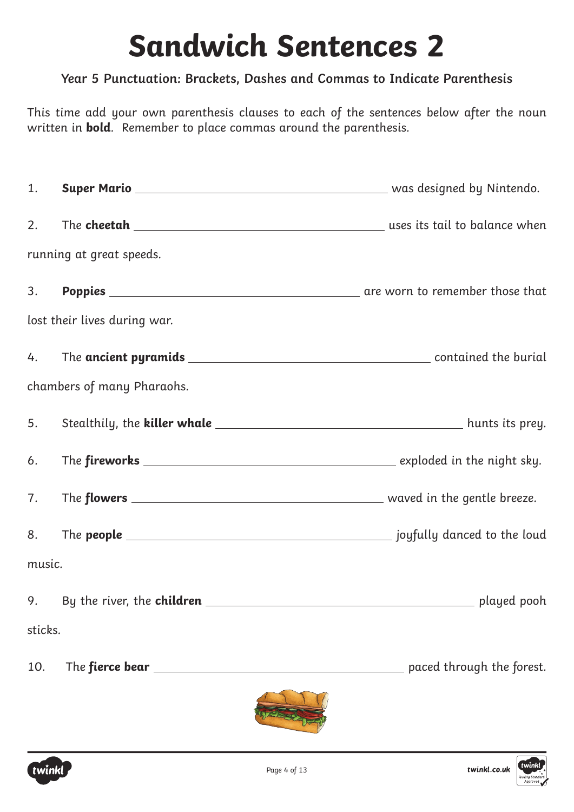## **Sandwich Sentences 2**

### **Year 5 Punctuation: Brackets, Dashes and Commas to Indicate Parenthesis**

This time add your own parenthesis clauses to each of the sentences below after the noun written in **bold**. Remember to place commas around the parenthesis.

1. **Super Mario** Matio 2002 **Super Mario** 2008 Milliam Mathematic Contract and Mathematic Contract August 2016 2. The **cheetah** uses its tail to balance when running at great speeds. 3. **Poppies** are worn to remember those that lost their lives during war. 4. The **ancient pyramids** 2002 2003 2004 2005 2007 2008 2004 2005 2006 2009 2004 2006 2007 2008 2009 2008 2009 200 chambers of many Pharaohs. 5. Stealthily, the **killer whale** hunts its prey. 6. The **fireworks** exploded in the night sky. 7. The **flowers** waved in the gentle breeze. 8. The **people** <u>same substituting and the louding of the louding set of the louding set of the louding set of the louding set of the louding set of the louding set of the louding set of the louding set of the louding set </u> music. 9. By the river, the **children played pooh** played pooh sticks. 10. The **fierce bear paced through the forest.** 





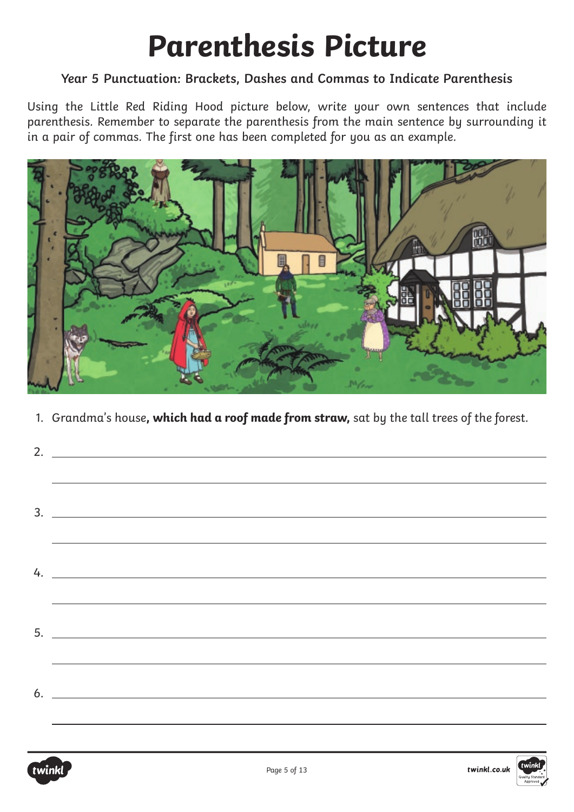## **Parenthesis Picture**

#### **Year 5 Punctuation: Brackets, Dashes and Commas to Indicate Parenthesis**

Using the Little Red Riding Hood picture below, write your own sentences that include parenthesis. Remember to separate the parenthesis from the main sentence by surrounding it in a pair of commas. The first one has been completed for you as an example.



1. Grandma's house**, which had a roof made from straw,** sat by the tall trees of the forest.

| <u> Alexandro de la contrada de la contrada de la contrada de la contrada de la contrada de la contrada de la con</u> |
|-----------------------------------------------------------------------------------------------------------------------|
|                                                                                                                       |
| $\frac{3}{2}$                                                                                                         |
|                                                                                                                       |
|                                                                                                                       |
|                                                                                                                       |
|                                                                                                                       |
|                                                                                                                       |
|                                                                                                                       |
|                                                                                                                       |
|                                                                                                                       |
|                                                                                                                       |
|                                                                                                                       |



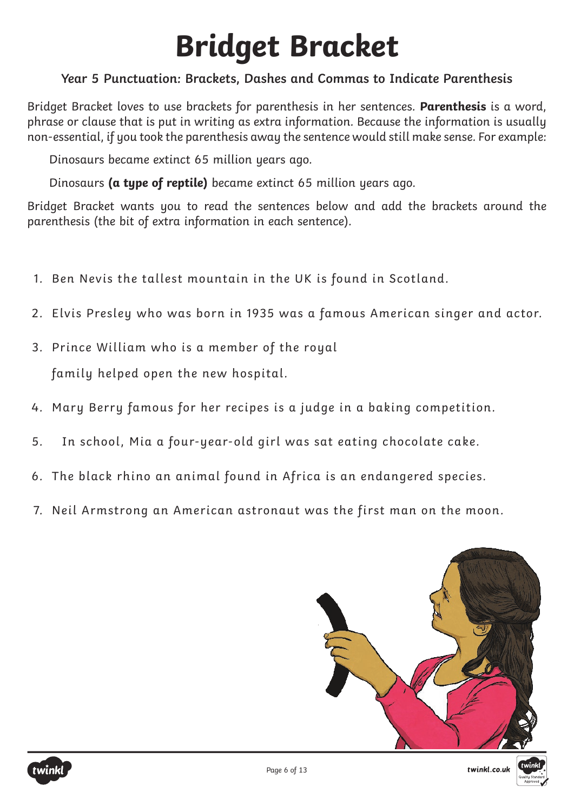# **Bridget Bracket**

### **Year 5 Punctuation: Brackets, Dashes and Commas to Indicate Parenthesis**

Bridget Bracket loves to use brackets for parenthesis in her sentences. **Parenthesis** is a word, phrase or clause that is put in writing as extra information. Because the information is usually non-essential, if you took the parenthesis away the sentence would still make sense. For example:

Dinosaurs became extinct 65 million years ago.

Dinosaurs **(a type of reptile)** became extinct 65 million years ago.

Bridget Bracket wants you to read the sentences below and add the brackets around the parenthesis (the bit of extra information in each sentence).

- 1. Ben Nevis the tallest mountain in the UK is found in Scotland.
- 2. Elvis Presley who was born in 1935 was a famous American singer and actor.
- 3. Prince William who is a member of the royal family helped open the new hospital.
- 4. Mary Berry famous for her recipes is a judge in a baking competition.
- 5. In school, Mia a four-year-old girl was sat eating chocolate cake.
- 6. The black rhino an animal found in Africa is an endangered species.
- 7. Neil Armstrong an American astronaut was the first man on the moon.

Page 6 of 13







twinkl.co.uk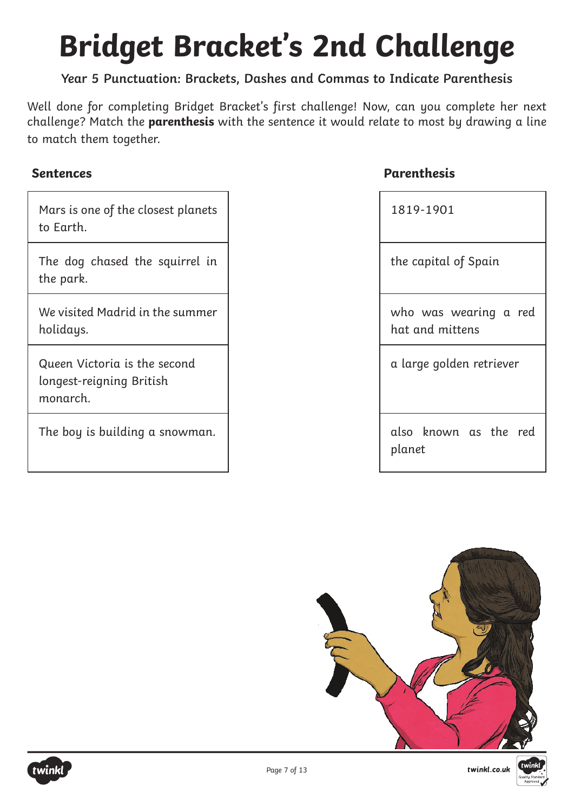# **Bridget Bracket's 2nd Challenge**

#### **Year 5 Punctuation: Brackets, Dashes and Commas to Indicate Parenthesis**

Well done for completing Bridget Bracket's first challenge! Now, can you complete her next challenge? Match the **parenthesis** with the sentence it would relate to most by drawing a line to match them together.

| Mars is one of the closest planets |  |
|------------------------------------|--|
| to Earth.                          |  |

The dog chased the squirrel in the park.

We visited Madrid in the summer holidays.

Queen Victoria is the second longest-reigning British monarch.

The boy is building a snowman.

#### **Sentences Parenthesis**

| 1819-1901                                |
|------------------------------------------|
| the capital of Spain                     |
| who was wearing a red<br>hat and mittens |
| a large golden retriever                 |
| also known as the red<br>planet          |





Page 7 of 13

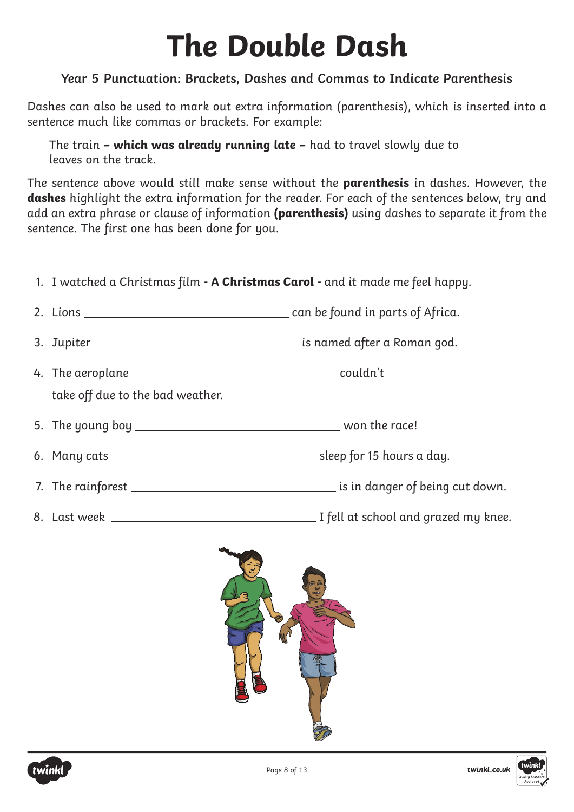# **The Double Dash**

### **Year 5 Punctuation: Brackets, Dashes and Commas to Indicate Parenthesis**

Dashes can also be used to mark out extra information (parenthesis), which is inserted into a sentence much like commas or brackets. For example:

The train **– which was already running late –** had to travel slowly due to leaves on the track.

The sentence above would still make sense without the **parenthesis** in dashes. However, the **dashes** highlight the extra information for the reader. For each of the sentences below, try and add an extra phrase or clause of information **(parenthesis)** using dashes to separate it from the sentence. The first one has been done for you.

| 1. I watched a Christmas film - A Christmas Carol - and it made me feel happy. |  |
|--------------------------------------------------------------------------------|--|
|                                                                                |  |
|                                                                                |  |
| take off due to the bad weather.                                               |  |
|                                                                                |  |
|                                                                                |  |
|                                                                                |  |
|                                                                                |  |





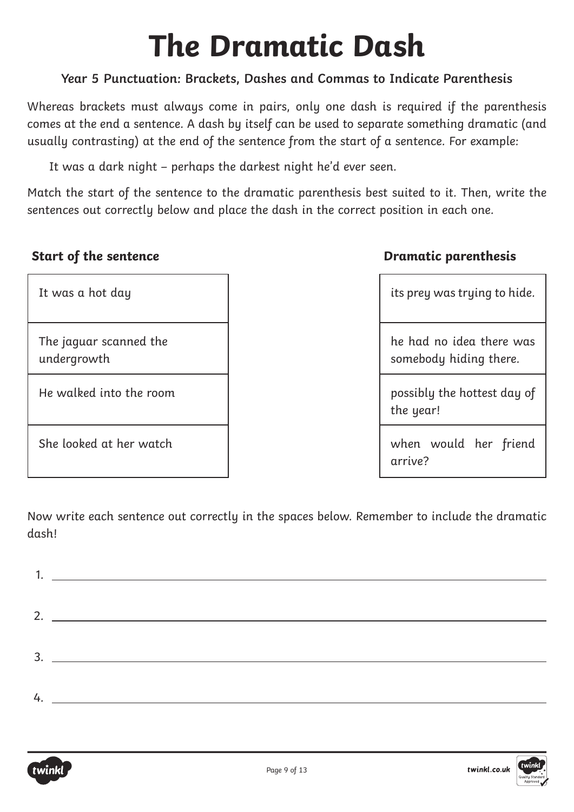# **The Dramatic Dash**

### **Year 5 Punctuation: Brackets, Dashes and Commas to Indicate Parenthesis**

Whereas brackets must always come in pairs, only one dash is required if the parenthesis comes at the end a sentence. A dash by itself can be used to separate something dramatic (and usually contrasting) at the end of the sentence from the start of a sentence. For example:

It was a dark night – perhaps the darkest night he'd ever seen.

Match the start of the sentence to the dramatic parenthesis best suited to it. Then, write the sentences out correctly below and place the dash in the correct position in each one.

| It was a hot day                      | its prey was trying to hide.                       |
|---------------------------------------|----------------------------------------------------|
| The jaguar scanned the<br>undergrowth | he had no idea there was<br>somebody hiding there. |
| He walked into the room               | possibly the hottest day of<br>the year!           |
| She looked at her watch               | when would her friend<br>arrive?                   |

### **Start of the sentence <b>Dramatic parenthesis**

|  | its prey was trying to hide. |  |
|--|------------------------------|--|
|  |                              |  |

when would her friend arrive?

Now write each sentence out correctly in the spaces below. Remember to include the dramatic dash!

| 2. $\frac{1}{2}$ $\frac{1}{2}$ $\frac{1}{2}$ $\frac{1}{2}$ $\frac{1}{2}$ $\frac{1}{2}$ $\frac{1}{2}$ $\frac{1}{2}$ $\frac{1}{2}$ $\frac{1}{2}$ $\frac{1}{2}$ $\frac{1}{2}$ $\frac{1}{2}$ $\frac{1}{2}$ $\frac{1}{2}$ $\frac{1}{2}$ $\frac{1}{2}$ $\frac{1}{2}$ $\frac{1}{2}$ $\frac{1}{2}$ $\frac{1}{2}$ $\frac{1}{2}$ |
|------------------------------------------------------------------------------------------------------------------------------------------------------------------------------------------------------------------------------------------------------------------------------------------------------------------------|
|                                                                                                                                                                                                                                                                                                                        |
| 4.                                                                                                                                                                                                                                                                                                                     |



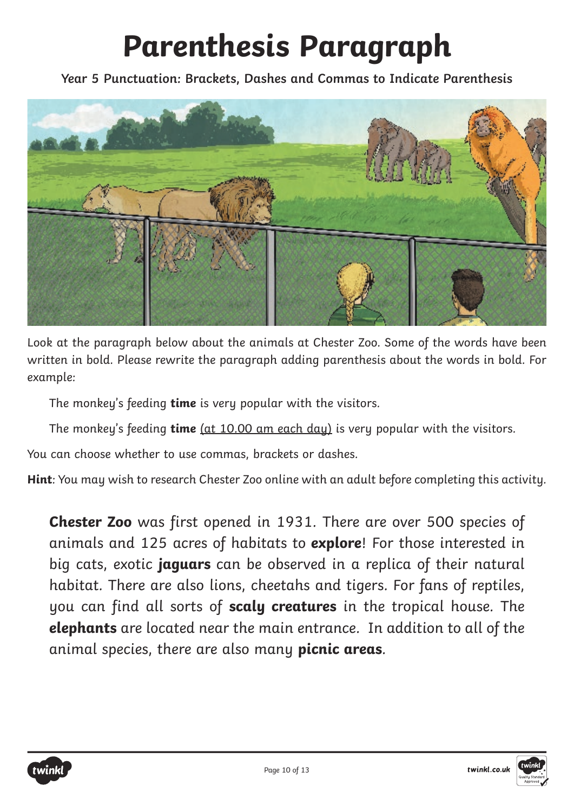# **Parenthesis Paragraph**

**Year 5 Punctuation: Brackets, Dashes and Commas to Indicate Parenthesis**



Look at the paragraph below about the animals at Chester Zoo. Some of the words have been written in bold. Please rewrite the paragraph adding parenthesis about the words in bold. For example:

The monkey's feeding **time** is very popular with the visitors.

The monkey's feeding **time** (at 10.00 am each day) is very popular with the visitors.

You can choose whether to use commas, brackets or dashes.

**Hint**: You may wish to research Chester Zoo online with an adult before completing this activity.

**Chester Zoo** was first opened in 1931. There are over 500 species of animals and 125 acres of habitats to **explore**! For those interested in big cats, exotic **jaguars** can be observed in a replica of their natural habitat. There are also lions, cheetahs and tigers. For fans of reptiles, you can find all sorts of **scaly creatures** in the tropical house. The **elephants** are located near the main entrance. In addition to all of the animal species, there are also many **picnic areas**.



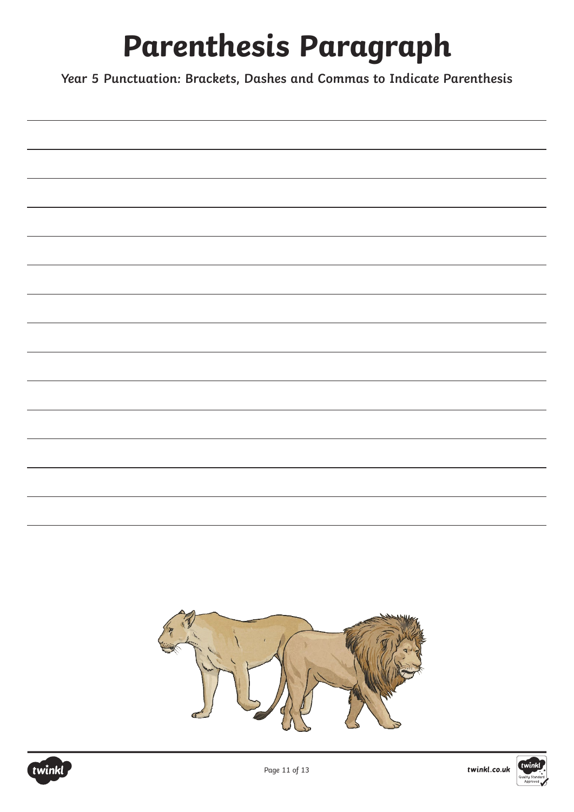# **Parenthesis Paragraph**

**Year 5 Punctuation: Brackets, Dashes and Commas to Indicate Parenthesis**





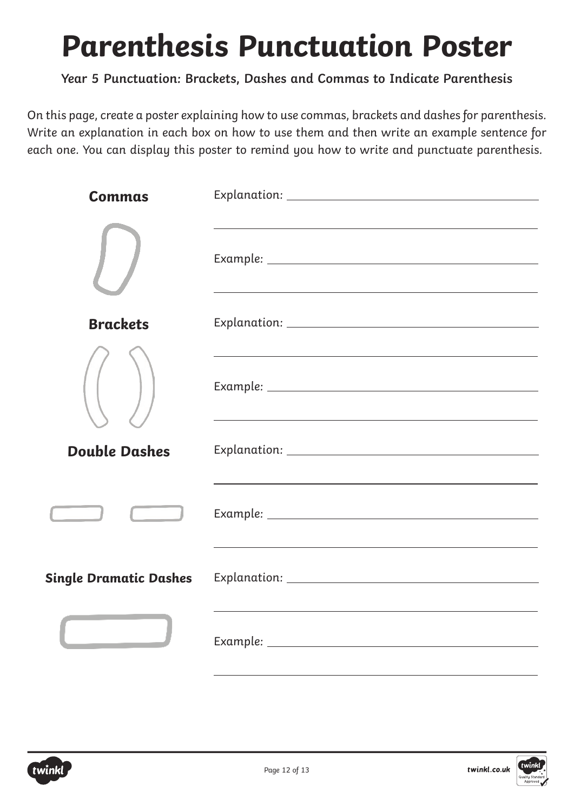## **Parenthesis Punctuation Poster**

### **Year 5 Punctuation: Brackets, Dashes and Commas to Indicate Parenthesis**

On this page, create a poster explaining how to use commas, brackets and dashes for parenthesis. Write an explanation in each box on how to use them and then write an example sentence for each one. You can display this poster to remind you how to write and punctuate parenthesis.

| <b>Commas</b>                 |                                                                                   |
|-------------------------------|-----------------------------------------------------------------------------------|
|                               |                                                                                   |
|                               | <u> 1989 - Johann Stoff, amerikansk politiker (d. 1989)</u>                       |
| <b>Brackets</b>               |                                                                                   |
|                               | <u> 1989 - Johann Stoff, amerikansk politiker (d. 1989)</u>                       |
|                               |                                                                                   |
|                               |                                                                                   |
| <b>Double Dashes</b>          |                                                                                   |
|                               | ,我们也不会有一个人的人,我们也不会有一个人的人,我们也不会有一个人的人。""我们,我们也不会有一个人的人,我们也不会有一个人的人,我们也不会有一个人的人。""我 |
|                               |                                                                                   |
|                               |                                                                                   |
|                               |                                                                                   |
| <b>Single Dramatic Dashes</b> |                                                                                   |
|                               |                                                                                   |
|                               |                                                                                   |
|                               |                                                                                   |



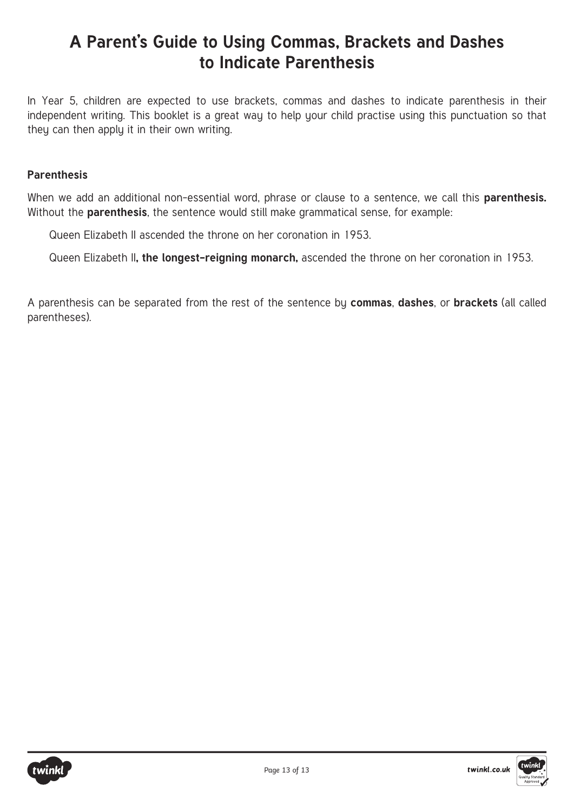### **A Parent's Guide to Using Commas, Brackets and Dashes to Indicate Parenthesis**

In Year 5, children are expected to use brackets, commas and dashes to indicate parenthesis in their independent writing. This booklet is a great way to help your child practise using this punctuation so that they can then apply it in their own writing.

#### **Parenthesis**

When we add an additional non-essential word, phrase or clause to a sentence, we call this **parenthesis.** Without the **parenthesis**, the sentence would still make grammatical sense, for example:

Queen Elizabeth II ascended the throne on her coronation in 1953.

Queen Elizabeth II**, the longest-reigning monarch,** ascended the throne on her coronation in 1953.

A parenthesis can be separated from the rest of the sentence by **commas**, **dashes**, or **brackets** (all called parentheses).



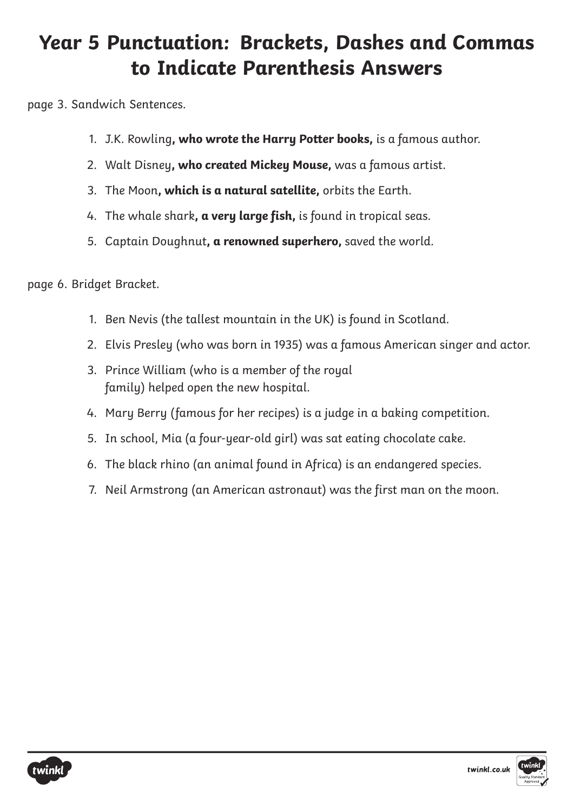### **Year 5 Punctuation: Brackets, Dashes and Commas to Indicate Parenthesis Answers**

page 3. Sandwich Sentences.

- 1. J.K. Rowling**, who wrote the Harry Potter books,** is a famous author.
- 2. Walt Disney**, who created Mickey Mouse,** was a famous artist.
- 3. The Moon**, which is a natural satellite,** orbits the Earth.
- 4. The whale shark**, a very large fish,** is found in tropical seas.
- 5. Captain Doughnut**, a renowned superhero,** saved the world.

page 6. Bridget Bracket.

- 1. Ben Nevis (the tallest mountain in the UK) is found in Scotland.
- 2. Elvis Presley (who was born in 1935) was a famous American singer and actor.
- 3. Prince William (who is a member of the royal family) helped open the new hospital.
- 4. Mary Berry (famous for her recipes) is a judge in a baking competition.
- 5. In school, Mia (a four-year-old girl) was sat eating chocolate cake.
- 6. The black rhino (an animal found in Africa) is an endangered species.
- 7. Neil Armstrong (an American astronaut) was the first man on the moon.



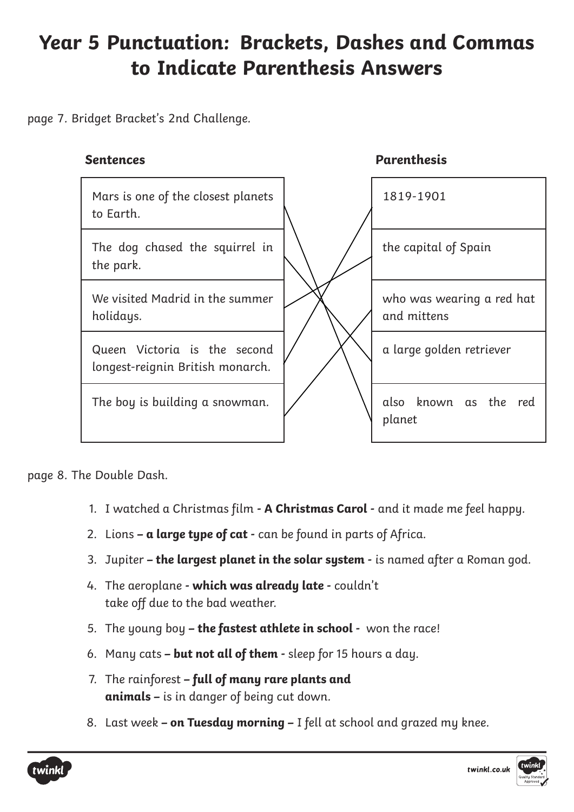### **Year 5 Punctuation: Brackets, Dashes and Commas to Indicate Parenthesis Answers**

page 7. Bridget Bracket's 2nd Challenge.

#### **Sentences Parenthesis**



page 8. The Double Dash.

- 1. I watched a Christmas film  **A Christmas Carol -** and it made me feel happy.
- 2. Lions  **a large type of cat -** can be found in parts of Africa.
- 3. Jupiter **the largest planet in the solar system -** is named after a Roman god.
- 4. The aeroplane  **which was already late -** couldn't take off due to the bad weather.
- 5. The young boy **the fastest athlete in school** won the race!
- 6. Many cats **but not all of them** sleep for 15 hours a day.
- 7. The rainforest **full of many rare plants and animals –** is in danger of being cut down.
- 8. Last week **on Tuesday morning –** I fell at school and grazed my knee.